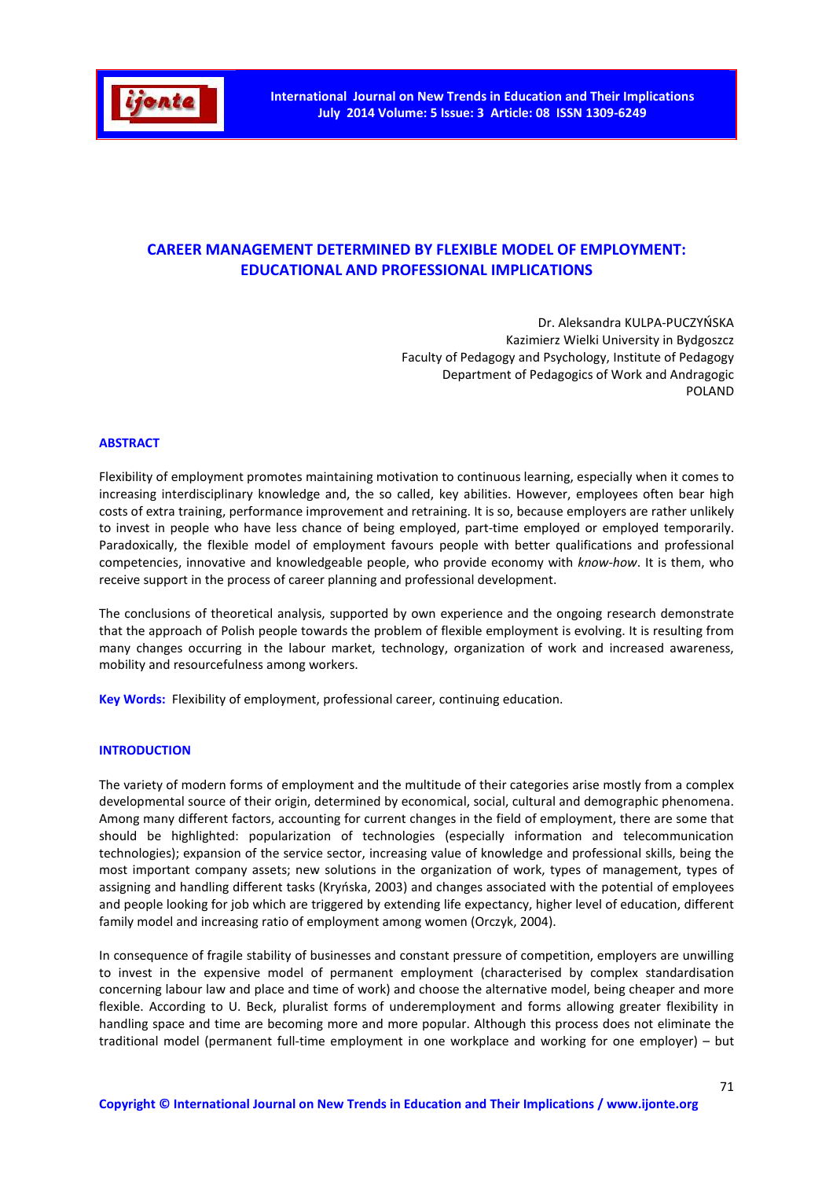

# **CAREER MANAGEMENT DETERMINED BY FLEXIBLE MODEL OF EMPLOYMENT: EDUCATIONAL AND PROFESSIONAL IMPLICATIONS**

Dr. Aleksandra KULPA-PUCZYŃSKA Kazimierz Wielki University in Bydgoszcz Faculty of Pedagogy and Psychology, Institute of Pedagogy Department of Pedagogics of Work and Andragogic POLAND

### **ABSTRACT**

Flexibility of employment promotes maintaining motivation to continuous learning, especially when it comes to increasing interdisciplinary knowledge and, the so called, key abilities. However, employees often bear high costs of extra training, performance improvement and retraining. It is so, because employers are rather unlikely to invest in people who have less chance of being employed, part-time employed or employed temporarily. Paradoxically, the flexible model of employment favours people with better qualifications and professional competencies, innovative and knowledgeable people, who provide economy with *know-how*. It is them, who receive support in the process of career planning and professional development.

The conclusions of theoretical analysis, supported by own experience and the ongoing research demonstrate that the approach of Polish people towards the problem of flexible employment is evolving. It is resulting from many changes occurring in the labour market, technology, organization of work and increased awareness, mobility and resourcefulness among workers.

**Key Words:** Flexibility of employment, professional career, continuing education.

### **INTRODUCTION**

The variety of modern forms of employment and the multitude of their categories arise mostly from a complex developmental source of their origin, determined by economical, social, cultural and demographic phenomena. Among many different factors, accounting for current changes in the field of employment, there are some that should be highlighted: popularization of technologies (especially information and telecommunication technologies); expansion of the service sector, increasing value of knowledge and professional skills, being the most important company assets; new solutions in the organization of work, types of management, types of assigning and handling different tasks (Kryńska, 2003) and changes associated with the potential of employees and people looking for job which are triggered by extending life expectancy, higher level of education, different family model and increasing ratio of employment among women (Orczyk, 2004).

In consequence of fragile stability of businesses and constant pressure of competition, employers are unwilling to invest in the expensive model of permanent employment (characterised by complex standardisation concerning labour law and place and time of work) and choose the alternative model, being cheaper and more flexible. According to U. Beck, pluralist forms of underemployment and forms allowing greater flexibility in handling space and time are becoming more and more popular. Although this process does not eliminate the traditional model (permanent full-time employment in one workplace and working for one employer) – but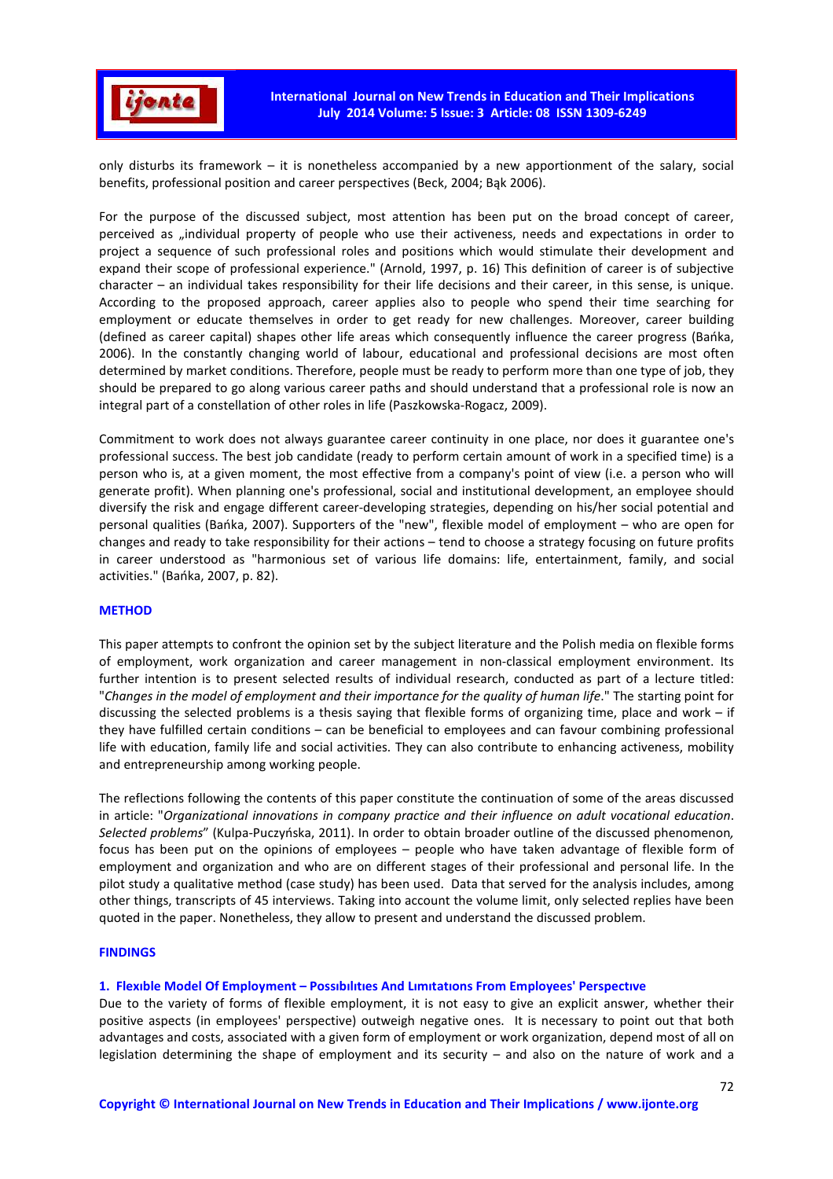

only disturbs its framework – it is nonetheless accompanied by a new apportionment of the salary, social benefits, professional position and career perspectives (Beck, 2004; Bąk 2006).

For the purpose of the discussed subject, most attention has been put on the broad concept of career, perceived as "individual property of people who use their activeness, needs and expectations in order to project a sequence of such professional roles and positions which would stimulate their development and expand their scope of professional experience." (Arnold, 1997, p. 16) This definition of career is of subjective character – an individual takes responsibility for their life decisions and their career, in this sense, is unique. According to the proposed approach, career applies also to people who spend their time searching for employment or educate themselves in order to get ready for new challenges. Moreover, career building (defined as career capital) shapes other life areas which consequently influence the career progress (Bańka, 2006). In the constantly changing world of labour, educational and professional decisions are most often determined by market conditions. Therefore, people must be ready to perform more than one type of job, they should be prepared to go along various career paths and should understand that a professional role is now an integral part of a constellation of other roles in life (Paszkowska-Rogacz, 2009).

Commitment to work does not always guarantee career continuity in one place, nor does it guarantee one's professional success. The best job candidate (ready to perform certain amount of work in a specified time) is a person who is, at a given moment, the most effective from a company's point of view (i.e. a person who will generate profit). When planning one's professional, social and institutional development, an employee should diversify the risk and engage different career-developing strategies, depending on his/her social potential and personal qualities (Bańka, 2007). Supporters of the "new", flexible model of employment – who are open for changes and ready to take responsibility for their actions – tend to choose a strategy focusing on future profits in career understood as "harmonious set of various life domains: life, entertainment, family, and social activities." (Bańka, 2007, p. 82).

# **METHOD**

This paper attempts to confront the opinion set by the subject literature and the Polish media on flexible forms of employment, work organization and career management in non-classical employment environment. Its further intention is to present selected results of individual research, conducted as part of a lecture titled: "*Changes in the model of employment and their importance for the quality of human life*." The starting point for discussing the selected problems is a thesis saying that flexible forms of organizing time, place and work – if they have fulfilled certain conditions – can be beneficial to employees and can favour combining professional life with education, family life and social activities. They can also contribute to enhancing activeness, mobility and entrepreneurship among working people.

The reflections following the contents of this paper constitute the continuation of some of the areas discussed in article: "*Organizational innovations in company practice and their influence on adult vocational education*. *Selected problems*" (Kulpa-Puczyńska, 2011). In order to obtain broader outline of the discussed phenomenon*,*  focus has been put on the opinions of employees – people who have taken advantage of flexible form of employment and organization and who are on different stages of their professional and personal life. In the pilot study a qualitative method (case study) has been used. Data that served for the analysis includes, among other things, transcripts of 45 interviews. Taking into account the volume limit, only selected replies have been quoted in the paper. Nonetheless, they allow to present and understand the discussed problem.

#### **FINDINGS**

# **1. Flexıble Model Of Employment – Possıbılıtıes And Lımıtatıons From Employees' Perspectıve**

Due to the variety of forms of flexible employment, it is not easy to give an explicit answer, whether their positive aspects (in employees' perspective) outweigh negative ones. It is necessary to point out that both advantages and costs, associated with a given form of employment or work organization, depend most of all on legislation determining the shape of employment and its security – and also on the nature of work and a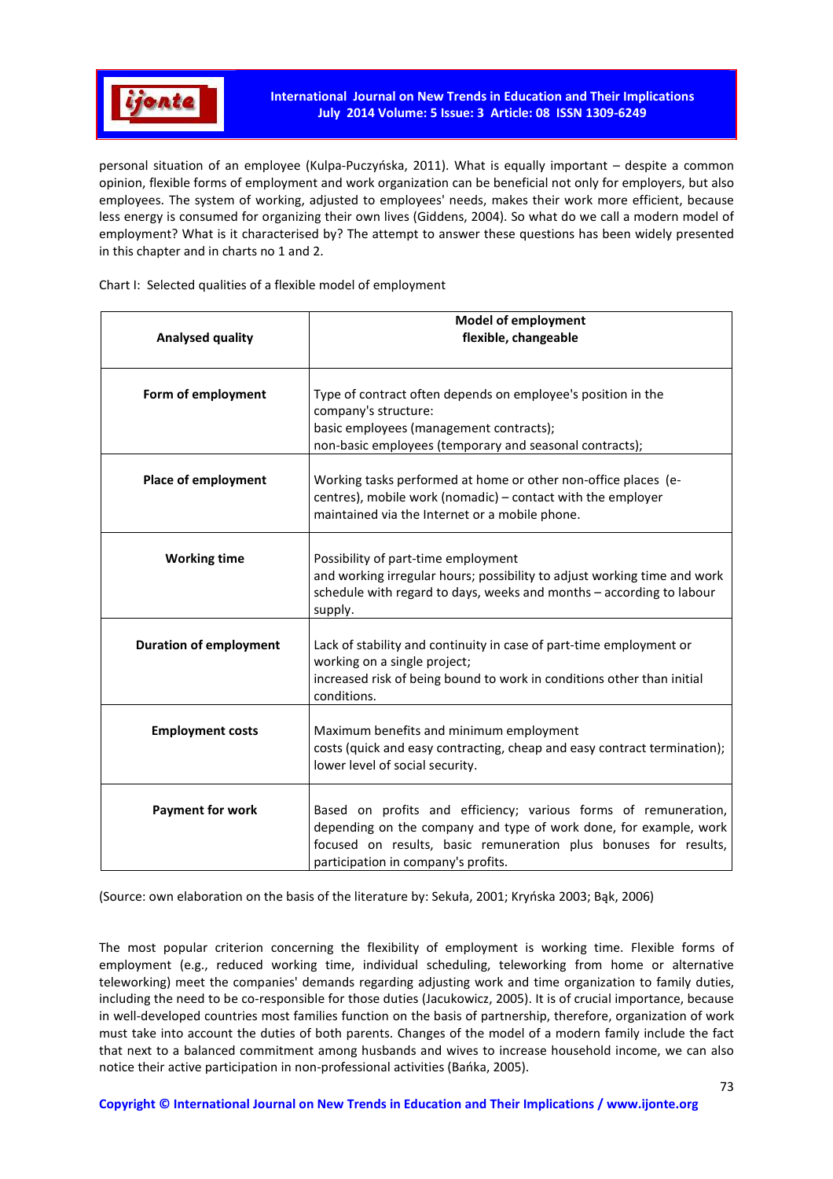

personal situation of an employee (Kulpa-Puczyńska, 2011). What is equally important – despite a common opinion, flexible forms of employment and work organization can be beneficial not only for employers, but also employees. The system of working, adjusted to employees' needs, makes their work more efficient, because less energy is consumed for organizing their own lives (Giddens, 2004). So what do we call a modern model of employment? What is it characterised by? The attempt to answer these questions has been widely presented in this chapter and in charts no 1 and 2.

Chart I: Selected qualities of a flexible model of employment

| Analysed quality              | <b>Model of employment</b><br>flexible, changeable                                                                                                                                                                                              |
|-------------------------------|-------------------------------------------------------------------------------------------------------------------------------------------------------------------------------------------------------------------------------------------------|
| Form of employment            | Type of contract often depends on employee's position in the<br>company's structure:<br>basic employees (management contracts);<br>non-basic employees (temporary and seasonal contracts);                                                      |
| Place of employment           | Working tasks performed at home or other non-office places (e-<br>centres), mobile work (nomadic) - contact with the employer<br>maintained via the Internet or a mobile phone.                                                                 |
| <b>Working time</b>           | Possibility of part-time employment<br>and working irregular hours; possibility to adjust working time and work<br>schedule with regard to days, weeks and months - according to labour<br>supply.                                              |
| <b>Duration of employment</b> | Lack of stability and continuity in case of part-time employment or<br>working on a single project;<br>increased risk of being bound to work in conditions other than initial<br>conditions.                                                    |
| <b>Employment costs</b>       | Maximum benefits and minimum employment<br>costs (quick and easy contracting, cheap and easy contract termination);<br>lower level of social security.                                                                                          |
| <b>Payment for work</b>       | Based on profits and efficiency; various forms of remuneration,<br>depending on the company and type of work done, for example, work<br>focused on results, basic remuneration plus bonuses for results,<br>participation in company's profits. |

(Source: own elaboration on the basis of the literature by: Sekuła, 2001; Kryńska 2003; Bąk, 2006)

The most popular criterion concerning the flexibility of employment is working time. Flexible forms of employment (e.g., reduced working time, individual scheduling, teleworking from home or alternative teleworking) meet the companies' demands regarding adjusting work and time organization to family duties, including the need to be co-responsible for those duties (Jacukowicz, 2005). It is of crucial importance, because in well-developed countries most families function on the basis of partnership, therefore, organization of work must take into account the duties of both parents. Changes of the model of a modern family include the fact that next to a balanced commitment among husbands and wives to increase household income, we can also notice their active participation in non-professional activities (Bańka, 2005).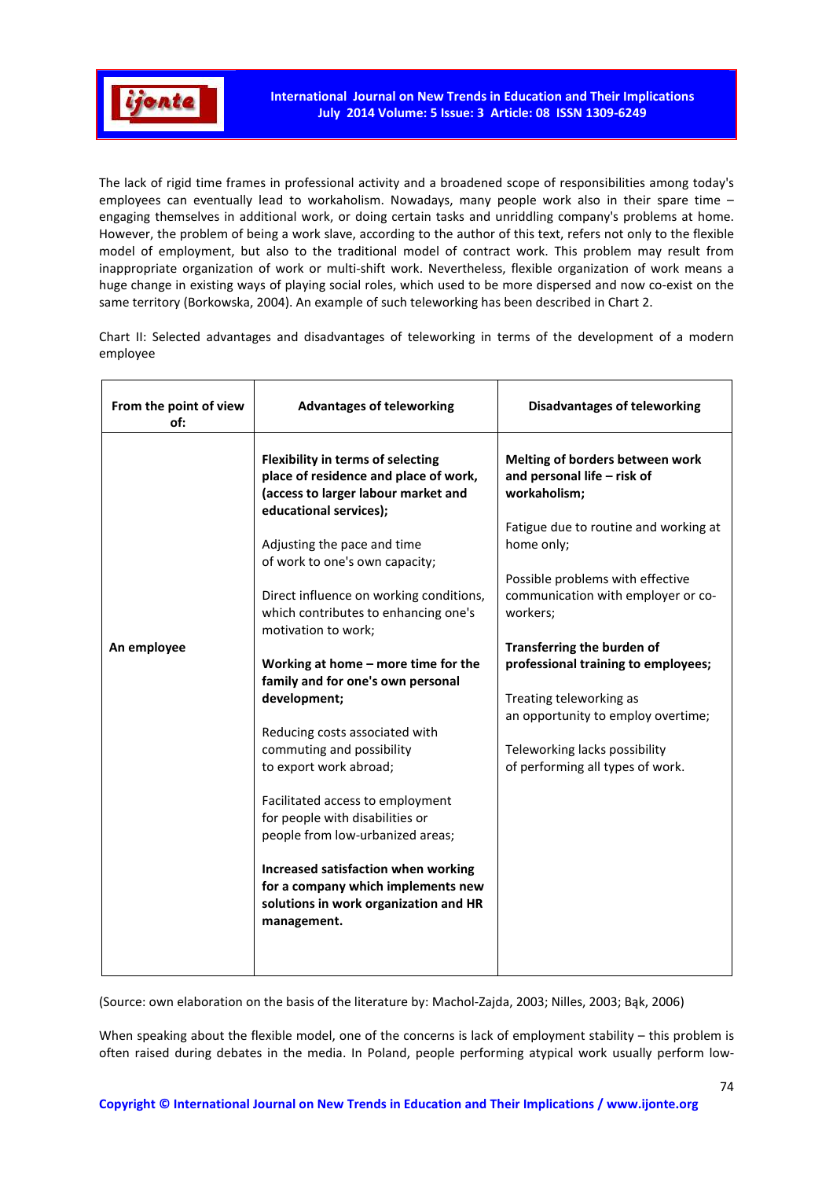

The lack of rigid time frames in professional activity and a broadened scope of responsibilities among today's employees can eventually lead to workaholism. Nowadays, many people work also in their spare time engaging themselves in additional work, or doing certain tasks and unriddling company's problems at home. However, the problem of being a work slave, according to the author of this text, refers not only to the flexible model of employment, but also to the traditional model of contract work. This problem may result from inappropriate organization of work or multi-shift work. Nevertheless, flexible organization of work means a huge change in existing ways of playing social roles, which used to be more dispersed and now co-exist on the same territory (Borkowska, 2004). An example of such teleworking has been described in Chart 2.

Chart II: Selected advantages and disadvantages of teleworking in terms of the development of a modern employee

| From the point of view<br>of: | <b>Advantages of teleworking</b>                                                                                                                   | <b>Disadvantages of teleworking</b>                                                |
|-------------------------------|----------------------------------------------------------------------------------------------------------------------------------------------------|------------------------------------------------------------------------------------|
|                               | <b>Flexibility in terms of selecting</b><br>place of residence and place of work,<br>(access to larger labour market and<br>educational services); | Melting of borders between work<br>and personal life - risk of<br>workaholism;     |
|                               | Adjusting the pace and time<br>of work to one's own capacity;                                                                                      | Fatigue due to routine and working at<br>home only;                                |
|                               | Direct influence on working conditions,<br>which contributes to enhancing one's<br>motivation to work;                                             | Possible problems with effective<br>communication with employer or co-<br>workers; |
| An employee                   | Working at home - more time for the<br>family and for one's own personal                                                                           | Transferring the burden of<br>professional training to employees;                  |
|                               | development;                                                                                                                                       | Treating teleworking as<br>an opportunity to employ overtime;                      |
|                               | Reducing costs associated with                                                                                                                     |                                                                                    |
|                               | commuting and possibility                                                                                                                          | Teleworking lacks possibility                                                      |
|                               | to export work abroad;                                                                                                                             | of performing all types of work.                                                   |
|                               | Facilitated access to employment<br>for people with disabilities or<br>people from low-urbanized areas;                                            |                                                                                    |
|                               | Increased satisfaction when working<br>for a company which implements new<br>solutions in work organization and HR<br>management.                  |                                                                                    |

(Source: own elaboration on the basis of the literature by: Machol-Zajda, 2003; Nilles, 2003; Bąk, 2006)

When speaking about the flexible model, one of the concerns is lack of employment stability – this problem is often raised during debates in the media. In Poland, people performing atypical work usually perform low-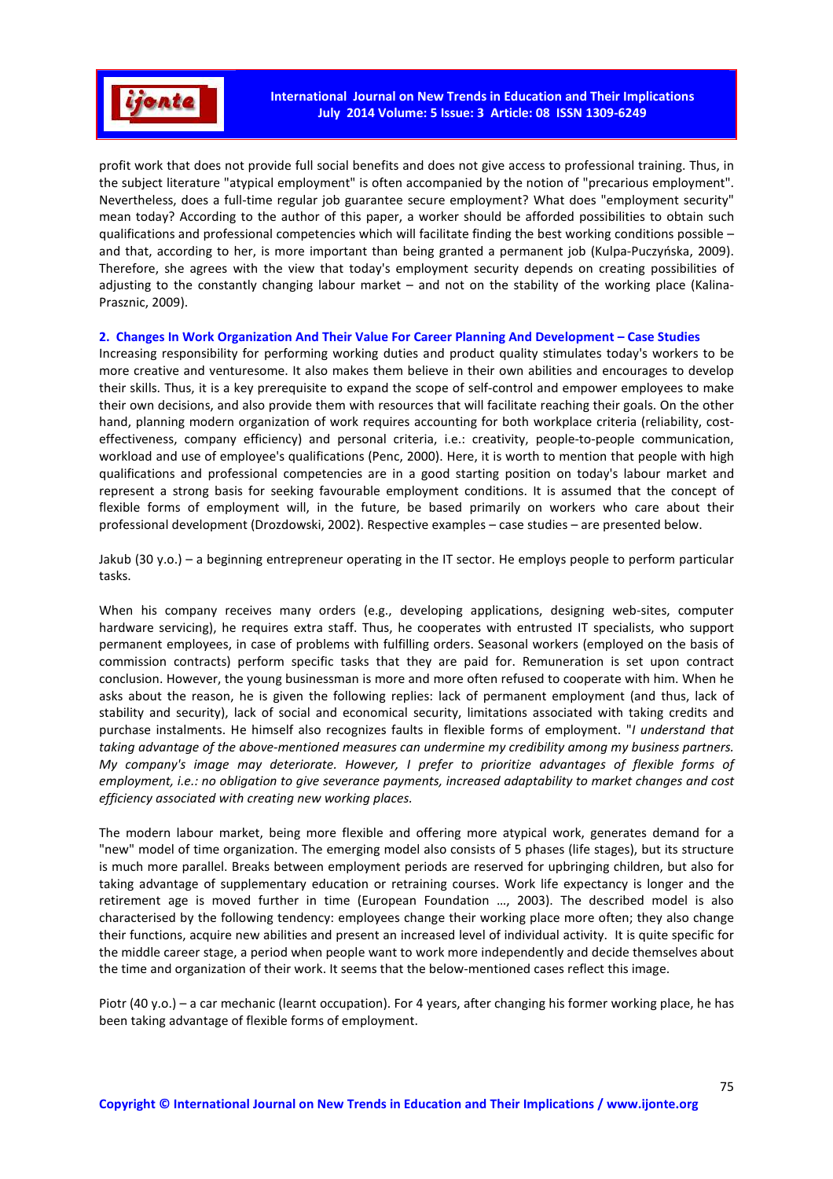

profit work that does not provide full social benefits and does not give access to professional training. Thus, in the subject literature "atypical employment" is often accompanied by the notion of "precarious employment". Nevertheless, does a full-time regular job guarantee secure employment? What does "employment security" mean today? According to the author of this paper, a worker should be afforded possibilities to obtain such qualifications and professional competencies which will facilitate finding the best working conditions possible – and that, according to her, is more important than being granted a permanent job (Kulpa-Puczyńska, 2009). Therefore, she agrees with the view that today's employment security depends on creating possibilities of adjusting to the constantly changing labour market – and not on the stability of the working place (Kalina-Prasznic, 2009).

# **2. Changes In Work Organization And Their Value For Career Planning And Development – Case Studies**

Increasing responsibility for performing working duties and product quality stimulates today's workers to be more creative and venturesome. It also makes them believe in their own abilities and encourages to develop their skills. Thus, it is a key prerequisite to expand the scope of self-control and empower employees to make their own decisions, and also provide them with resources that will facilitate reaching their goals. On the other hand, planning modern organization of work requires accounting for both workplace criteria (reliability, costeffectiveness, company efficiency) and personal criteria, i.e.: creativity, people-to-people communication, workload and use of employee's qualifications (Penc, 2000). Here, it is worth to mention that people with high qualifications and professional competencies are in a good starting position on today's labour market and represent a strong basis for seeking favourable employment conditions. It is assumed that the concept of flexible forms of employment will, in the future, be based primarily on workers who care about their professional development (Drozdowski, 2002). Respective examples – case studies – are presented below.

Jakub (30 y.o.) – a beginning entrepreneur operating in the IT sector. He employs people to perform particular tasks.

When his company receives many orders (e.g., developing applications, designing web-sites, computer hardware servicing), he requires extra staff. Thus, he cooperates with entrusted IT specialists, who support permanent employees, in case of problems with fulfilling orders. Seasonal workers (employed on the basis of commission contracts) perform specific tasks that they are paid for. Remuneration is set upon contract conclusion. However, the young businessman is more and more often refused to cooperate with him. When he asks about the reason, he is given the following replies: lack of permanent employment (and thus, lack of stability and security), lack of social and economical security, limitations associated with taking credits and purchase instalments. He himself also recognizes faults in flexible forms of employment. "*I understand that taking advantage of the above-mentioned measures can undermine my credibility among my business partners. My company's image may deteriorate. However, I prefer to prioritize advantages of flexible forms of employment, i.e.: no obligation to give severance payments, increased adaptability to market changes and cost efficiency associated with creating new working places.*

The modern labour market, being more flexible and offering more atypical work, generates demand for a "new" model of time organization. The emerging model also consists of 5 phases (life stages), but its structure is much more parallel. Breaks between employment periods are reserved for upbringing children, but also for taking advantage of supplementary education or retraining courses. Work life expectancy is longer and the retirement age is moved further in time (European Foundation …, 2003). The described model is also characterised by the following tendency: employees change their working place more often; they also change their functions, acquire new abilities and present an increased level of individual activity. It is quite specific for the middle career stage, a period when people want to work more independently and decide themselves about the time and organization of their work. It seems that the below-mentioned cases reflect this image.

Piotr (40 y.o.) – a car mechanic (learnt occupation). For 4 years, after changing his former working place, he has been taking advantage of flexible forms of employment.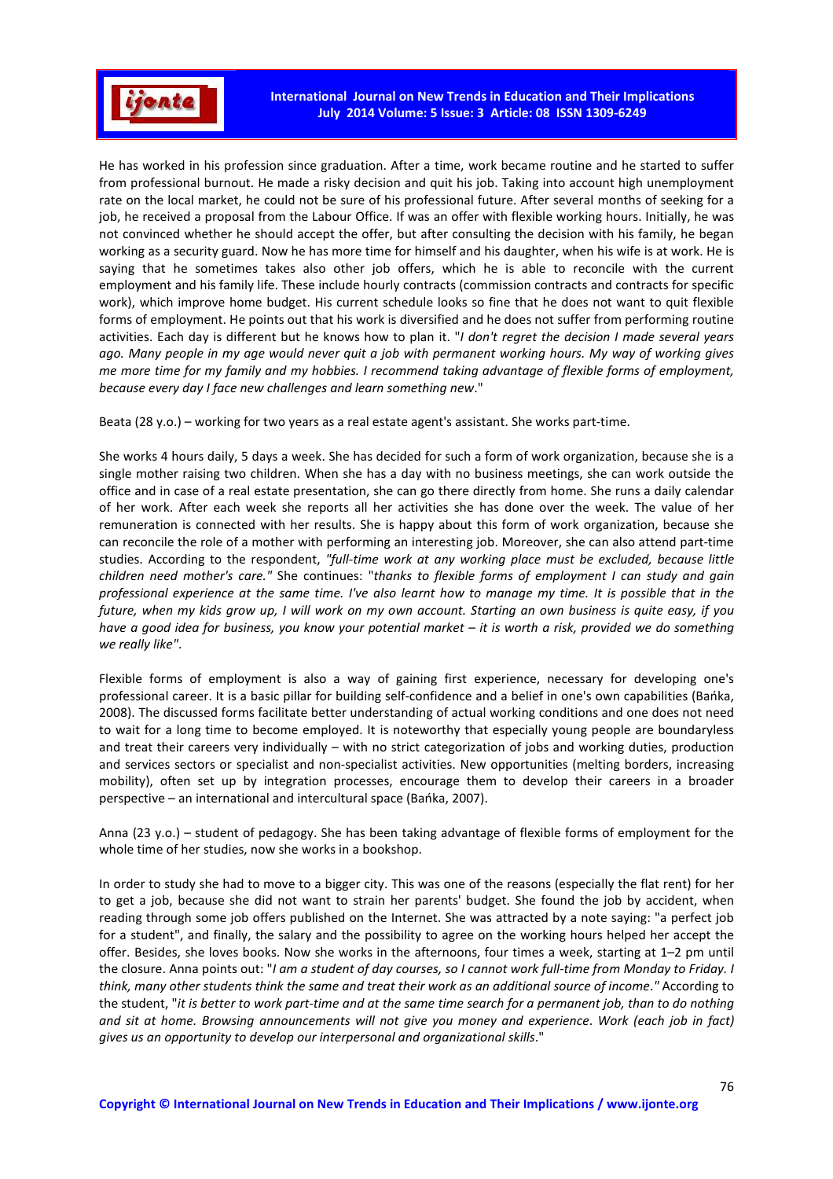

He has worked in his profession since graduation. After a time, work became routine and he started to suffer from professional burnout. He made a risky decision and quit his job. Taking into account high unemployment rate on the local market, he could not be sure of his professional future. After several months of seeking for a job, he received a proposal from the Labour Office. If was an offer with flexible working hours. Initially, he was not convinced whether he should accept the offer, but after consulting the decision with his family, he began working as a security guard. Now he has more time for himself and his daughter, when his wife is at work. He is saying that he sometimes takes also other job offers, which he is able to reconcile with the current employment and his family life. These include hourly contracts (commission contracts and contracts for specific work), which improve home budget. His current schedule looks so fine that he does not want to quit flexible forms of employment. He points out that his work is diversified and he does not suffer from performing routine activities. Each day is different but he knows how to plan it. "*I don't regret the decision I made several years ago. Many people in my age would never quit a job with permanent working hours. My way of working gives me more time for my family and my hobbies. I recommend taking advantage of flexible forms of employment, because every day I face new challenges and learn something new*."

Beata (28 y.o.) – working for two years as a real estate agent's assistant. She works part-time.

She works 4 hours daily, 5 days a week. She has decided for such a form of work organization, because she is a single mother raising two children. When she has a day with no business meetings, she can work outside the office and in case of a real estate presentation, she can go there directly from home. She runs a daily calendar of her work. After each week she reports all her activities she has done over the week. The value of her remuneration is connected with her results. She is happy about this form of work organization, because she can reconcile the role of a mother with performing an interesting job. Moreover, she can also attend part-time studies. According to the respondent, *"full-time work at any working place must be excluded, because little children need mother's care."* She continues: "*thanks to flexible forms of employment I can study and gain professional experience at the same time. I've also learnt how to manage my time. It is possible that in the future, when my kids grow up, I will work on my own account. Starting an own business is quite easy, if you have a good idea for business, you know your potential market – it is worth a risk, provided we do something we really like"*.

Flexible forms of employment is also a way of gaining first experience, necessary for developing one's professional career. It is a basic pillar for building self-confidence and a belief in one's own capabilities (Bańka, 2008). The discussed forms facilitate better understanding of actual working conditions and one does not need to wait for a long time to become employed. It is noteworthy that especially young people are boundaryless and treat their careers very individually – with no strict categorization of jobs and working duties, production and services sectors or specialist and non-specialist activities. New opportunities (melting borders, increasing mobility), often set up by integration processes, encourage them to develop their careers in a broader perspective – an international and intercultural space (Bańka, 2007).

Anna (23 y.o.) – student of pedagogy. She has been taking advantage of flexible forms of employment for the whole time of her studies, now she works in a bookshop.

In order to study she had to move to a bigger city. This was one of the reasons (especially the flat rent) for her to get a job, because she did not want to strain her parents' budget. She found the job by accident, when reading through some job offers published on the Internet. She was attracted by a note saying: "a perfect job for a student", and finally, the salary and the possibility to agree on the working hours helped her accept the offer. Besides, she loves books. Now she works in the afternoons, four times a week, starting at 1–2 pm until the closure. Anna points out: "*I am a student of day courses, so I cannot work full-time from Monday to Friday. I think, many other students think the same and treat their work as an additional source of income*.*"* According to the student, "*it is better to work part-time and at the same time search for a permanent job, than to do nothing and sit at home. Browsing announcements will not give you money and experience*. *Work (each job in fact) gives us an opportunity to develop our interpersonal and organizational skills*."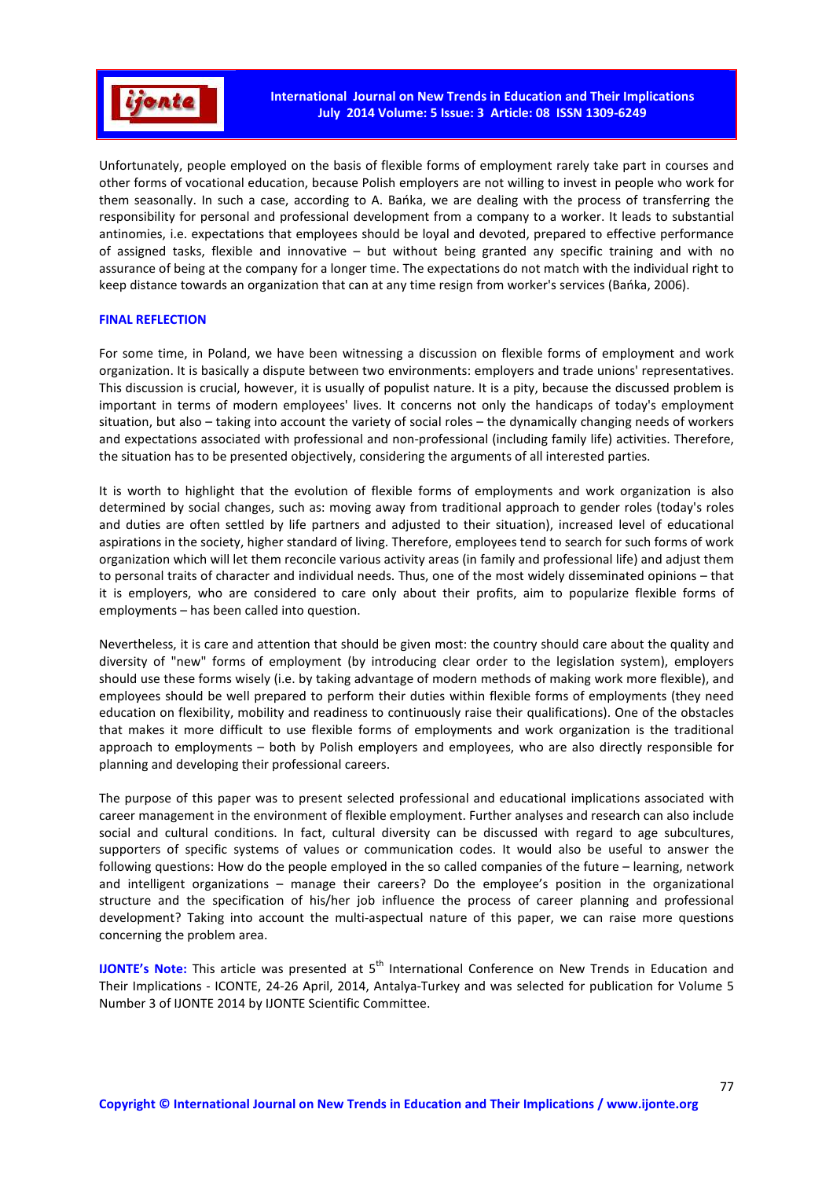

Unfortunately, people employed on the basis of flexible forms of employment rarely take part in courses and other forms of vocational education, because Polish employers are not willing to invest in people who work for them seasonally. In such a case, according to A. Bańka, we are dealing with the process of transferring the responsibility for personal and professional development from a company to a worker. It leads to substantial antinomies, i.e. expectations that employees should be loyal and devoted, prepared to effective performance of assigned tasks, flexible and innovative – but without being granted any specific training and with no assurance of being at the company for a longer time. The expectations do not match with the individual right to keep distance towards an organization that can at any time resign from worker's services (Bańka, 2006).

# **FINAL REFLECTION**

For some time, in Poland, we have been witnessing a discussion on flexible forms of employment and work organization. It is basically a dispute between two environments: employers and trade unions' representatives. This discussion is crucial, however, it is usually of populist nature. It is a pity, because the discussed problem is important in terms of modern employees' lives. It concerns not only the handicaps of today's employment situation, but also – taking into account the variety of social roles – the dynamically changing needs of workers and expectations associated with professional and non-professional (including family life) activities. Therefore, the situation has to be presented objectively, considering the arguments of all interested parties.

It is worth to highlight that the evolution of flexible forms of employments and work organization is also determined by social changes, such as: moving away from traditional approach to gender roles (today's roles and duties are often settled by life partners and adjusted to their situation), increased level of educational aspirations in the society, higher standard of living. Therefore, employees tend to search for such forms of work organization which will let them reconcile various activity areas (in family and professional life) and adjust them to personal traits of character and individual needs. Thus, one of the most widely disseminated opinions – that it is employers, who are considered to care only about their profits, aim to popularize flexible forms of employments – has been called into question.

Nevertheless, it is care and attention that should be given most: the country should care about the quality and diversity of "new" forms of employment (by introducing clear order to the legislation system), employers should use these forms wisely (i.e. by taking advantage of modern methods of making work more flexible), and employees should be well prepared to perform their duties within flexible forms of employments (they need education on flexibility, mobility and readiness to continuously raise their qualifications). One of the obstacles that makes it more difficult to use flexible forms of employments and work organization is the traditional approach to employments – both by Polish employers and employees, who are also directly responsible for planning and developing their professional careers.

The purpose of this paper was to present selected professional and educational implications associated with career management in the environment of flexible employment. Further analyses and research can also include social and cultural conditions. In fact, cultural diversity can be discussed with regard to age subcultures, supporters of specific systems of values or communication codes. It would also be useful to answer the following questions: How do the people employed in the so called companies of the future – learning, network and intelligent organizations – manage their careers? Do the employee's position in the organizational structure and the specification of his/her job influence the process of career planning and professional development? Taking into account the multi-aspectual nature of this paper, we can raise more questions concerning the problem area.

**IJONTE's Note:** This article was presented at 5<sup>th</sup> International Conference on New Trends in Education and Their Implications - ICONTE, 24-26 April, 2014, Antalya-Turkey and was selected for publication for Volume 5 Number 3 of IJONTE 2014 by IJONTE Scientific Committee.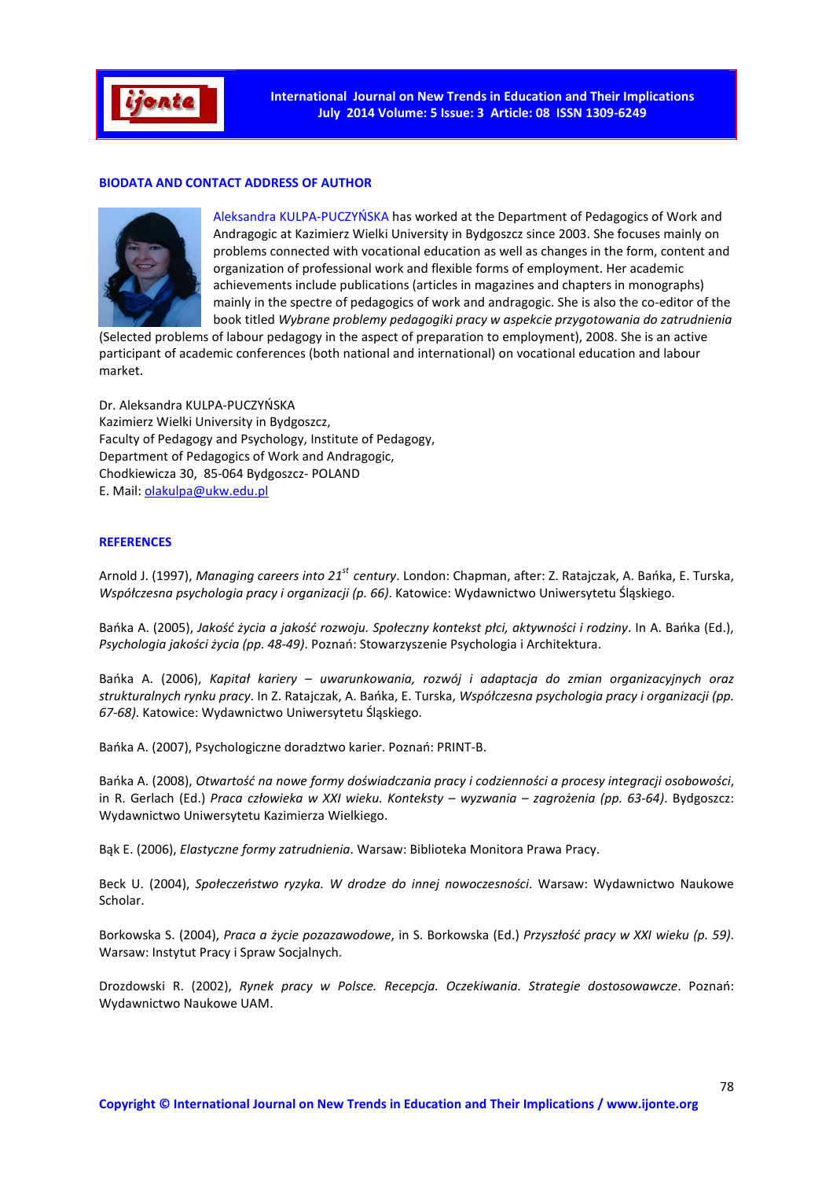

# **BIODATA AND CONTACT ADDRESS OF AUTHOR**



Aleksandra KULPA-PUCZYŃSKA has worked at the Department of Pedagogics of Work and Andragogic at Kazimierz Wielki University in Bydgoszcz since 2003. She focuses mainly on problems connected with vocational education as well as changes in the form, content and organization of professional work and flexible forms of employment. Her academic achievements include publications (articles in magazines and chapters in monographs) mainly in the spectre of pedagogics of work and andragogic. She is also the co-editor of the book titled *Wybrane problemy pedagogiki pracy w aspekcie przygotowania do zatrudnienia* 

(Selected problems of labour pedagogy in the aspect of preparation to employment), 2008. She is an active participant of academic conferences (both national and international) on vocational education and labour market.

Dr. Aleksandra KULPA-PUCZYŃSKA Kazimierz Wielki University in Bydgoszcz, Faculty of Pedagogy and Psychology, Institute of Pedagogy, Department of Pedagogics of Work and Andragogic, Chodkiewicza 30, 85-064 Bydgoszcz- POLAND E. Mail: olakulpa@ukw.edu.pl

### **REFERENCES**

Arnold J. (1997), *Managing careers into 21st century*. London: Chapman, after: Z. Ratajczak, A. Bańka, E. Turska, *Współczesna psychologia pracy i organizacji (p. 66)*. Katowice: Wydawnictwo Uniwersytetu Śląskiego.

Bańka A. (2005), *Jakość życia a jakość rozwoju. Społeczny kontekst płci, aktywności i rodziny*. In A. Bańka (Ed.), *Psychologia jakości życia (pp. 48-49)*. Poznań: Stowarzyszenie Psychologia i Architektura.

Bańka A. (2006), *Kapitał kariery – uwarunkowania, rozwój i adaptacja do zmian organizacyjnych oraz strukturalnych rynku pracy*. In Z. Ratajczak, A. Bańka, E. Turska, *Współczesna psychologia pracy i organizacji (pp. 67-68)*. Katowice: Wydawnictwo Uniwersytetu Śląskiego.

Bańka A. (2007), Psychologiczne doradztwo karier. Poznań: PRINT-B.

Bańka A. (2008), *Otwartość na nowe formy doświadczania pracy i codzienności a procesy integracji osobowości*, in R. Gerlach (Ed.) *Praca człowieka w XXI wieku. Konteksty – wyzwania – zagrożenia (pp. 63-64)*. Bydgoszcz: Wydawnictwo Uniwersytetu Kazimierza Wielkiego.

Bąk E. (2006), *Elastyczne formy zatrudnienia*. Warsaw: Biblioteka Monitora Prawa Pracy.

Beck U. (2004), *Społeczeństwo ryzyka. W drodze do innej nowoczesności*. Warsaw: Wydawnictwo Naukowe Scholar.

Borkowska S. (2004), *Praca a życie pozazawodowe*, in S. Borkowska (Ed.) *Przyszłość pracy w XXI wieku (p. 59)*. Warsaw: Instytut Pracy i Spraw Socjalnych.

Drozdowski R. (2002), *Rynek pracy w Polsce. Recepcja. Oczekiwania. Strategie dostosowawcze*. Poznań: Wydawnictwo Naukowe UAM.